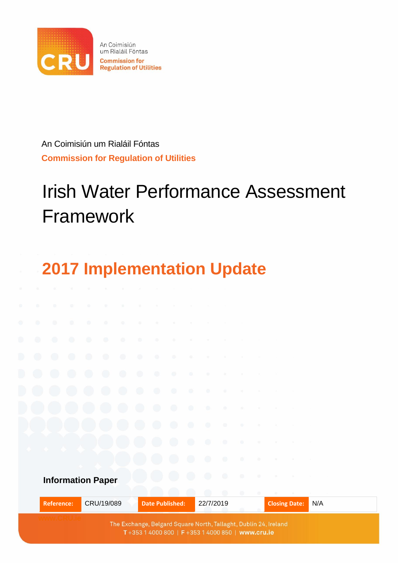

An Coimisiún um Rialáil Fóntas **Commission for Regulation of Utilities** 

An Coimisiún um Rialáil Fóntas **Commission for Regulation of Utilities**

# Irish Water Performance Assessment Framework

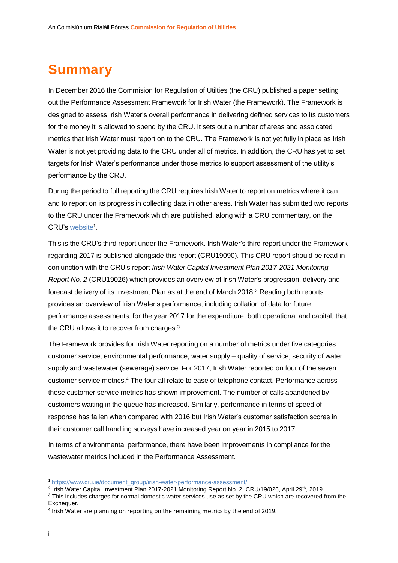## <span id="page-1-0"></span>**Summary**

In December 2016 the Commision for Regulation of Utilties (the CRU) published a paper setting out the Performance Assessment Framework for Irish Water (the Framework). The Framework is designed to assess Irish Water's overall performance in delivering defined services to its customers for the money it is allowed to spend by the CRU. It sets out a number of areas and assoicated metrics that Irish Water must report on to the CRU. The Framework is not yet fully in place as Irish Water is not yet providing data to the CRU under all of metrics. In addition, the CRU has yet to set targets for Irish Water's performance under those metrics to support assessment of the utility's performance by the CRU.

During the period to full reporting the CRU requires Irish Water to report on metrics where it can and to report on its progress in collecting data in other areas. Irish Water has submitted two reports to the CRU under the Framework which are published, along with a CRU commentary, on the CRU'[s website](https://www.cru.ie/document_group/irish-water-performance-assessment/)<sup>1</sup>.

This is the CRU's third report under the Framework. Irish Water's third report under the Framework regarding 2017 is published alongside this report (CRU19090). This CRU report should be read in conjunction with the CRU's report *Irish Water Capital Investment Plan 2017-2021 Monitoring Report No. 2* (CRU19026) which provides an overview of Irish Water's progression, delivery and forecast delivery of its Investment Plan as at the end of March 2018.<sup>2</sup> Reading both reports provides an overview of Irish Water's performance, including collation of data for future performance assessments, for the year 2017 for the expenditure, both operational and capital, that the CRU allows it to recover from charges.<sup>3</sup>

The Framework provides for Irish Water reporting on a number of metrics under five categories: customer service, environmental performance, water supply – quality of service, security of water supply and wastewater (sewerage) service. For 2017, Irish Water reported on four of the seven customer service metrics.<sup>4</sup> The four all relate to ease of telephone contact. Performance across these customer service metrics has shown improvement. The number of calls abandoned by customers waiting in the queue has increased. Similarly, performance in terms of speed of response has fallen when compared with 2016 but Irish Water's customer satisfaction scores in their customer call handling surveys have increased year on year in 2015 to 2017.

In terms of environmental performance, there have been improvements in compliance for the wastewater metrics included in the Performance Assessment.

<sup>2</sup> Irish Water Capital Investment Plan 2017-2021 Monitoring Report No. 2, CRU/19/026, April 29<sup>th</sup>, 2019

<sup>3</sup> This includes charges for normal domestic water services use as set by the CRU which are recovered from the Exchequer.

**.** 

<sup>1</sup> [https://www.cru.ie/document\\_group/irish-water-performance-assessment/](https://www.cru.ie/document_group/irish-water-performance-assessment/)

<sup>&</sup>lt;sup>4</sup> Irish Water are planning on reporting on the remaining metrics by the end of 2019.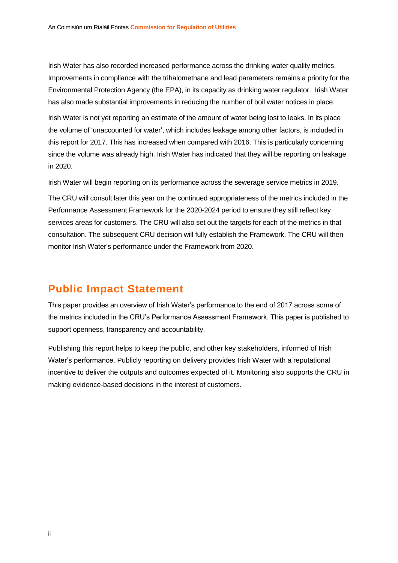Irish Water has also recorded increased performance across the drinking water quality metrics. Improvements in compliance with the trihalomethane and lead parameters remains a priority for the Environmental Protection Agency (the EPA), in its capacity as drinking water regulator. Irish Water has also made substantial improvements in reducing the number of boil water notices in place.

Irish Water is not yet reporting an estimate of the amount of water being lost to leaks. In its place the volume of 'unaccounted for water', which includes leakage among other factors, is included in this report for 2017. This has increased when compared with 2016. This is particularly concerning since the volume was already high. Irish Water has indicated that they will be reporting on leakage in 2020.

Irish Water will begin reporting on its performance across the sewerage service metrics in 2019.

The CRU will consult later this year on the continued appropriateness of the metrics included in the Performance Assessment Framework for the 2020-2024 period to ensure they still reflect key services areas for customers. The CRU will also set out the targets for each of the metrics in that consultation. The subsequent CRU decision will fully establish the Framework. The CRU will then monitor Irish Water's performance under the Framework from 2020.

### <span id="page-2-0"></span>**Public Impact Statement**

This paper provides an overview of Irish Water's performance to the end of 2017 across some of the metrics included in the CRU's Performance Assessment Framework. This paper is published to support openness, transparency and accountability.

Publishing this report helps to keep the public, and other key stakeholders, informed of Irish Water's performance. Publicly reporting on delivery provides Irish Water with a reputational incentive to deliver the outputs and outcomes expected of it. Monitoring also supports the CRU in making evidence-based decisions in the interest of customers.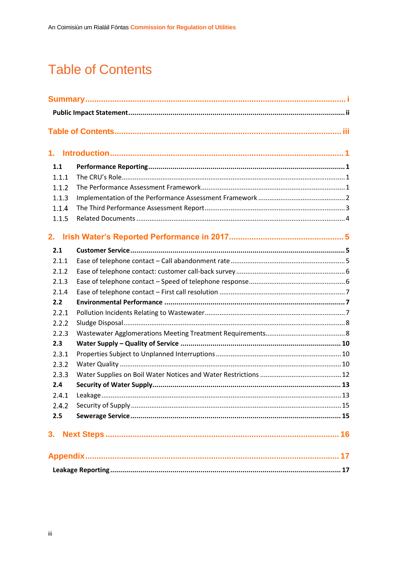## <span id="page-3-0"></span>**Table of Contents**

| 1.    |  |  |  |  |
|-------|--|--|--|--|
| 1.1   |  |  |  |  |
| 1.1.1 |  |  |  |  |
| 1.1.2 |  |  |  |  |
| 1.1.3 |  |  |  |  |
| 1.1.4 |  |  |  |  |
| 1.1.5 |  |  |  |  |
| 2.    |  |  |  |  |
| 2.1   |  |  |  |  |
| 2.1.1 |  |  |  |  |
| 2.1.2 |  |  |  |  |
| 2.1.3 |  |  |  |  |
| 2.1.4 |  |  |  |  |
| 2.2   |  |  |  |  |
| 2.2.1 |  |  |  |  |
| 2.2.2 |  |  |  |  |
| 2.2.3 |  |  |  |  |
| 2.3   |  |  |  |  |
| 2.3.1 |  |  |  |  |
| 2.3.2 |  |  |  |  |
| 2.3.3 |  |  |  |  |
| 2.4   |  |  |  |  |
| 2.4.1 |  |  |  |  |
| 2.4.2 |  |  |  |  |
| 2.5   |  |  |  |  |
|       |  |  |  |  |
|       |  |  |  |  |
|       |  |  |  |  |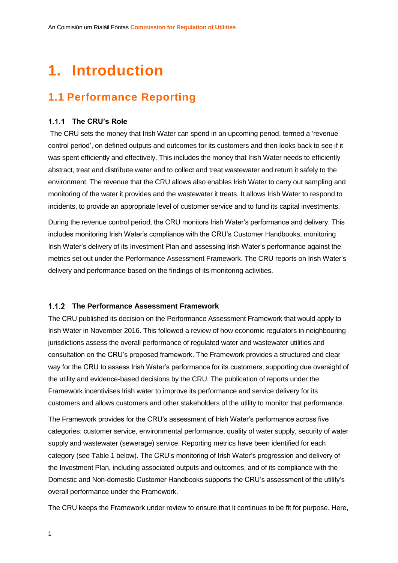## <span id="page-4-0"></span>**1. Introduction**

## <span id="page-4-1"></span>**1.1 Performance Reporting**

#### <span id="page-4-2"></span>**The CRU's Role**

The CRU sets the money that Irish Water can spend in an upcoming period, termed a 'revenue control period', on defined outputs and outcomes for its customers and then looks back to see if it was spent efficiently and effectively. This includes the money that Irish Water needs to efficiently abstract, treat and distribute water and to collect and treat wastewater and return it safely to the environment. The revenue that the CRU allows also enables Irish Water to carry out sampling and monitoring of the water it provides and the wastewater it treats. It allows Irish Water to respond to incidents, to provide an appropriate level of customer service and to fund its capital investments.

During the revenue control period, the CRU monitors Irish Water's performance and delivery. This includes monitoring Irish Water's compliance with the CRU's Customer Handbooks, monitoring Irish Water's delivery of its Investment Plan and assessing Irish Water's performance against the metrics set out under the Performance Assessment Framework. The CRU reports on Irish Water's delivery and performance based on the findings of its monitoring activities.

#### <span id="page-4-3"></span>**The Performance Assessment Framework**

The CRU published its decision on the Performance Assessment Framework that would apply to Irish Water in November 2016. This followed a review of how economic regulators in neighbouring jurisdictions assess the overall performance of regulated water and wastewater utilities and consultation on the CRU's proposed framework. The Framework provides a structured and clear way for the CRU to assess Irish Water's performance for its customers, supporting due oversight of the utility and evidence-based decisions by the CRU. The publication of reports under the Framework incentivises Irish water to improve its performance and service delivery for its customers and allows customers and other stakeholders of the utility to monitor that performance.

The Framework provides for the CRU's assessment of Irish Water's performance across five categories: customer service, environmental performance, quality of water supply, security of water supply and wastewater (sewerage) service. Reporting metrics have been identified for each category (see Table 1 below). The CRU's monitoring of Irish Water's progression and delivery of the Investment Plan, including associated outputs and outcomes, and of its compliance with the Domestic and Non-domestic Customer Handbooks supports the CRU's assessment of the utility's overall performance under the Framework.

The CRU keeps the Framework under review to ensure that it continues to be fit for purpose. Here,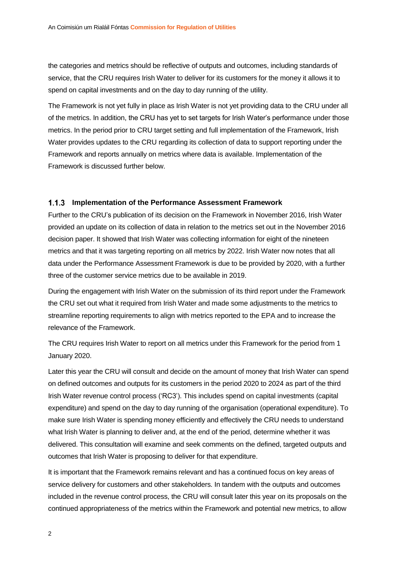the categories and metrics should be reflective of outputs and outcomes, including standards of service, that the CRU requires Irish Water to deliver for its customers for the money it allows it to spend on capital investments and on the day to day running of the utility.

The Framework is not yet fully in place as Irish Water is not yet providing data to the CRU under all of the metrics. In addition, the CRU has yet to set targets for Irish Water's performance under those metrics. In the period prior to CRU target setting and full implementation of the Framework, Irish Water provides updates to the CRU regarding its collection of data to support reporting under the Framework and reports annually on metrics where data is available. Implementation of the Framework is discussed further below.

#### <span id="page-5-0"></span>**Implementation of the Performance Assessment Framework**

Further to the CRU's publication of its decision on the Framework in November 2016, Irish Water provided an update on its collection of data in relation to the metrics set out in the November 2016 decision paper. It showed that Irish Water was collecting information for eight of the nineteen metrics and that it was targeting reporting on all metrics by 2022. Irish Water now notes that all data under the Performance Assessment Framework is due to be provided by 2020, with a further three of the customer service metrics due to be available in 2019.

During the engagement with Irish Water on the submission of its third report under the Framework the CRU set out what it required from Irish Water and made some adjustments to the metrics to streamline reporting requirements to align with metrics reported to the EPA and to increase the relevance of the Framework.

The CRU requires Irish Water to report on all metrics under this Framework for the period from 1 January 2020.

Later this year the CRU will consult and decide on the amount of money that Irish Water can spend on defined outcomes and outputs for its customers in the period 2020 to 2024 as part of the third Irish Water revenue control process ('RC3'). This includes spend on capital investments (capital expenditure) and spend on the day to day running of the organisation (operational expenditure). To make sure Irish Water is spending money efficiently and effectively the CRU needs to understand what Irish Water is planning to deliver and, at the end of the period, determine whether it was delivered. This consultation will examine and seek comments on the defined, targeted outputs and outcomes that Irish Water is proposing to deliver for that expenditure.

It is important that the Framework remains relevant and has a continued focus on key areas of service delivery for customers and other stakeholders. In tandem with the outputs and outcomes included in the revenue control process, the CRU will consult later this year on its proposals on the continued appropriateness of the metrics within the Framework and potential new metrics, to allow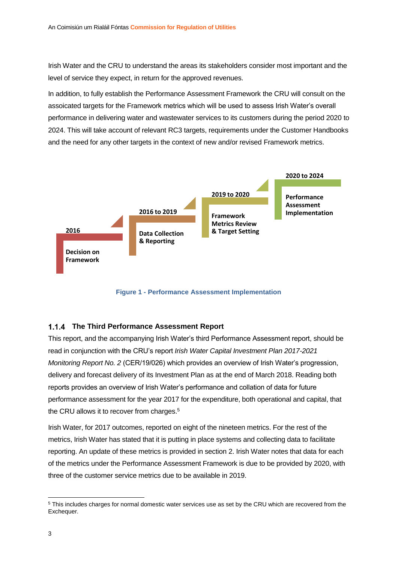Irish Water and the CRU to understand the areas its stakeholders consider most important and the level of service they expect, in return for the approved revenues.

In addition, to fully establish the Performance Assessment Framework the CRU will consult on the assoicated targets for the Framework metrics which will be used to assess Irish Water's overall performance in delivering water and wastewater services to its customers during the period 2020 to 2024. This will take account of relevant RC3 targets, requirements under the Customer Handbooks and the need for any other targets in the context of new and/or revised Framework metrics.



**Figure 1 - Performance Assessment Implementation**

#### <span id="page-6-0"></span>**The Third Performance Assessment Report**

This report, and the accompanying Irish Water's third Performance Assessment report, should be read in conjunction with the CRU's report *Irish Water Capital Investment Plan 2017-2021 Monitoring Report No. 2* (CER/19/026) which provides an overview of Irish Water's progression, delivery and forecast delivery of its Investment Plan as at the end of March 2018. Reading both reports provides an overview of Irish Water's performance and collation of data for future performance assessment for the year 2017 for the expenditure, both operational and capital, that the CRU allows it to recover from charges.<sup>5</sup>

Irish Water, for 2017 outcomes, reported on eight of the nineteen metrics. For the rest of the metrics, Irish Water has stated that it is putting in place systems and collecting data to facilitate reporting. An update of these metrics is provided in section 2. Irish Water notes that data for each of the metrics under the Performance Assessment Framework is due to be provided by 2020, with three of the customer service metrics due to be available in 2019.

1

<sup>5</sup> This includes charges for normal domestic water services use as set by the CRU which are recovered from the Exchequer.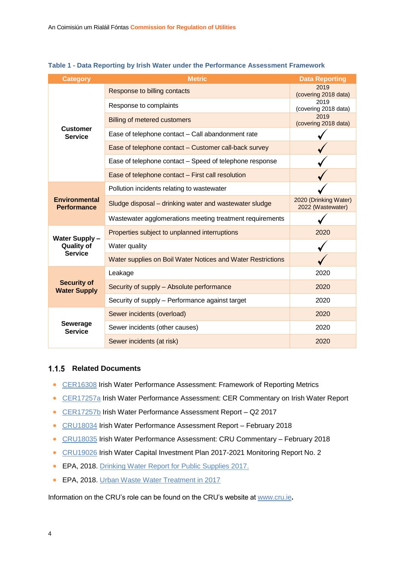| <b>Category</b>                            | <b>Metric</b>                                               | <b>Data Reporting</b>                      |
|--------------------------------------------|-------------------------------------------------------------|--------------------------------------------|
|                                            | Response to billing contacts                                | 2019<br>(covering 2018 data)               |
|                                            | Response to complaints                                      | 2019<br>(covering 2018 data)               |
|                                            | <b>Billing of metered customers</b>                         | 2019<br>(covering 2018 data)               |
| <b>Customer</b><br><b>Service</b>          | Ease of telephone contact - Call abandonment rate           |                                            |
|                                            | Ease of telephone contact - Customer call-back survey       |                                            |
|                                            | Ease of telephone contact – Speed of telephone response     |                                            |
|                                            | Ease of telephone contact - First call resolution           |                                            |
|                                            | Pollution incidents relating to wastewater                  |                                            |
| <b>Environmental</b><br><b>Performance</b> | Sludge disposal - drinking water and wastewater sludge      | 2020 (Drinking Water)<br>2022 (Wastewater) |
|                                            | Wastewater agglomerations meeting treatment requirements    |                                            |
| <b>Water Supply-</b>                       | Properties subject to unplanned interruptions               | 2020                                       |
| <b>Quality of</b>                          | Water quality                                               |                                            |
| <b>Service</b>                             | Water supplies on Boil Water Notices and Water Restrictions |                                            |
|                                            | Leakage                                                     | 2020                                       |
| <b>Security of</b><br><b>Water Supply</b>  | Security of supply - Absolute performance                   | 2020                                       |
|                                            | Security of supply – Performance against target             | 2020                                       |
|                                            | Sewer incidents (overload)                                  | 2020                                       |
| <b>Sewerage</b><br><b>Service</b>          | Sewer incidents (other causes)                              | 2020                                       |
|                                            | Sewer incidents (at risk)                                   | 2020                                       |

#### **Table 1 - Data Reporting by Irish Water under the Performance Assessment Framework**

#### <span id="page-7-0"></span>**1.1.5 Related Documents**

- [CER16308](https://www.cru.ie/wp-content/uploads/2016/07/CER16308-Irish-Water-Performance-Assessment-Decision-on-Framework.pdf) Irish Water Performance Assessment: Framework of Reporting Metrics
- [CER17257a](https://www.cru.ie/wp-content/uploads/2016/11/CER17257a-Irish-Water-Performance-Assessment-CER-Commentary-No1.pdf) Irish Water Performance Assessment: CER Commentary on Irish Water Report
- [CER17257b](https://www.cru.ie/wp-content/uploads/2016/11/CER17257b-Irish-Water-Performance-Assessment-Aug-2017.pdf) Irish Water Performance Assessment Report Q2 2017
- [CRU18034](https://www.cru.ie/wp-content/uploads/2016/11/CRU18034-Irish-Water-Performance-Assessment-Report-No.-2-February-2018.pdf) Irish Water Performance Assessment Report February 2018
- [CRU18035](https://www.cru.ie/wp-content/uploads/2016/11/CRU18035-CRU-Commentary-Paper-on-Irish-Water-Report-No.-2-February-2018.pdf) Irish Water Performance Assessment: CRU Commentary February 2018
- [CRU19026](https://www.cru.ie/wp-content/uploads/2019/04/CRU190426-CRU-Monitoring-Report-No-2-Irish-Water-Capital-Investment-Plan-2017-2021.pdf) Irish Water Capital Investment Plan 2017-2021 Monitoring Report No. 2
- EPA, 2018. [Drinking Water Report for Public Supplies 2017.](http://www.epa.ie/pubs/reports/water/drinking/2017%20DW%20Report_web_Final.pdf)
- EPA, 2018. [Urban Waste Water Treatment in 2017](http://www.epa.ie/pubs/reports/water/wastewater/Final%20report%20for%20website.pdf)

Information on the CRU's role can be found on the CRU's website a[t www.cru.ie](http://www.cru.ie/)**.**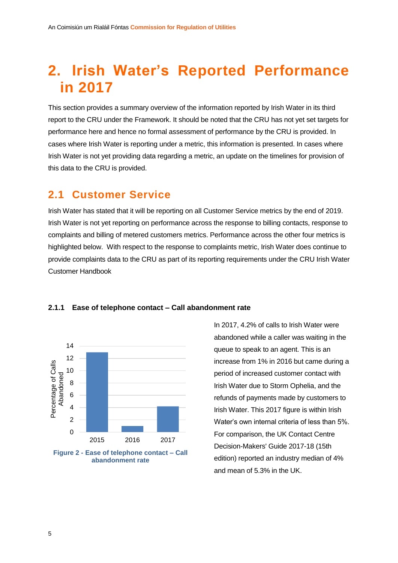## <span id="page-8-0"></span>**2. Irish Water's Reported Performance in 2017**

This section provides a summary overview of the information reported by Irish Water in its third report to the CRU under the Framework. It should be noted that the CRU has not yet set targets for performance here and hence no formal assessment of performance by the CRU is provided. In cases where Irish Water is reporting under a metric, this information is presented. In cases where Irish Water is not yet providing data regarding a metric, an update on the timelines for provision of this data to the CRU is provided.

### <span id="page-8-1"></span>**2.1 Customer Service**

Irish Water has stated that it will be reporting on all Customer Service metrics by the end of 2019. Irish Water is not yet reporting on performance across the response to billing contacts, response to complaints and billing of metered customers metrics. Performance across the other four metrics is highlighted below. With respect to the response to complaints metric, Irish Water does continue to provide complaints data to the CRU as part of its reporting requirements under the CRU Irish Water Customer Handbook



#### <span id="page-8-2"></span>**2.1.1 Ease of telephone contact – Call abandonment rate**

In 2017, 4.2% of calls to Irish Water were abandoned while a caller was waiting in the queue to speak to an agent. This is an increase from 1% in 2016 but came during a period of increased customer contact with Irish Water due to Storm Ophelia, and the refunds of payments made by customers to Irish Water. This 2017 figure is within Irish Water's own internal criteria of less than 5%. For comparison, the UK Contact Centre Decision-Makers' Guide 2017-18 (15th edition) reported an industry median of 4% and mean of 5.3% in the UK.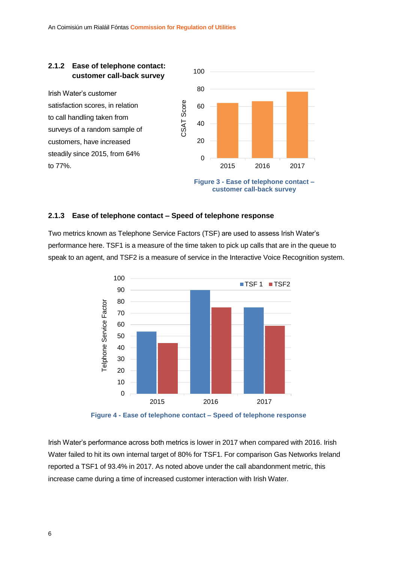<span id="page-9-0"></span>

## <span id="page-9-1"></span>**2.1.3 Ease of telephone contact – Speed of telephone response**

Two metrics known as Telephone Service Factors (TSF) are used to assess Irish Water's performance here. TSF1 is a measure of the time taken to pick up calls that are in the queue to speak to an agent, and TSF2 is a measure of service in the Interactive Voice Recognition system.



**Figure 4 - Ease of telephone contact – Speed of telephone response**

Irish Water's performance across both metrics is lower in 2017 when compared with 2016. Irish Water failed to hit its own internal target of 80% for TSF1. For comparison Gas Networks Ireland reported a TSF1 of 93.4% in 2017. As noted above under the call abandonment metric, this increase came during a time of increased customer interaction with Irish Water.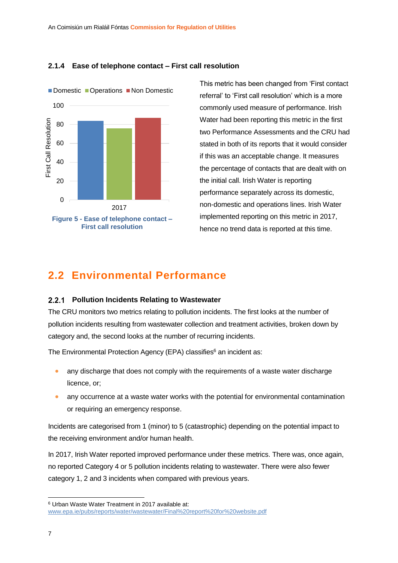<span id="page-10-0"></span>



Domestic Operations Non Domestic

This metric has been changed from 'First contact referral' to 'First call resolution' which is a more commonly used measure of performance. Irish Water had been reporting this metric in the first two Performance Assessments and the CRU had stated in both of its reports that it would consider if this was an acceptable change. It measures the percentage of contacts that are dealt with on the initial call. Irish Water is reporting performance separately across its domestic, non-domestic and operations lines. Irish Water implemented reporting on this metric in 2017, hence no trend data is reported at this time.

### <span id="page-10-1"></span>**2.2 Environmental Performance**

#### <span id="page-10-2"></span>**Pollution Incidents Relating to Wastewater**

The CRU monitors two metrics relating to pollution incidents. The first looks at the number of pollution incidents resulting from wastewater collection and treatment activities, broken down by category and, the second looks at the number of recurring incidents.

The Environmental Protection Agency (EPA) classifies<sup>6</sup> an incident as:

- any discharge that does not comply with the requirements of a waste water discharge licence, or;
- any occurrence at a waste water works with the potential for environmental contamination or requiring an emergency response.

Incidents are categorised from 1 (minor) to 5 (catastrophic) depending on the potential impact to the receiving environment and/or human health.

In 2017, Irish Water reported improved performance under these metrics. There was, once again, no reported Category 4 or 5 pollution incidents relating to wastewater. There were also fewer category 1, 2 and 3 incidents when compared with previous years.

1

<sup>6</sup> Urban Waste Water Treatment in 2017 available at:

[www.epa.ie/pubs/reports/water/wastewater/Final%20report%20for%20website.pdf](http://www.epa.ie/pubs/reports/water/wastewater/Final%20report%20for%20website.pdf)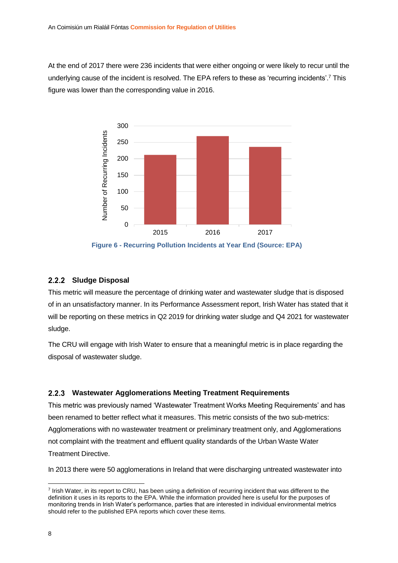At the end of 2017 there were 236 incidents that were either ongoing or were likely to recur until the underlying cause of the incident is resolved. The EPA refers to these as 'recurring incidents'.<sup>7</sup> This figure was lower than the corresponding value in 2016.



**Figure 6 - Recurring Pollution Incidents at Year End (Source: EPA)**

#### <span id="page-11-0"></span>2.2.2 Sludge Disposal

This metric will measure the percentage of drinking water and wastewater sludge that is disposed of in an unsatisfactory manner. In its Performance Assessment report, Irish Water has stated that it will be reporting on these metrics in Q2 2019 for drinking water sludge and Q4 2021 for wastewater sludge.

The CRU will engage with Irish Water to ensure that a meaningful metric is in place regarding the disposal of wastewater sludge.

#### <span id="page-11-1"></span>**Wastewater Agglomerations Meeting Treatment Requirements**

This metric was previously named 'Wastewater Treatment Works Meeting Requirements' and has been renamed to better reflect what it measures. This metric consists of the two sub-metrics: Agglomerations with no wastewater treatment or preliminary treatment only, and Agglomerations not complaint with the treatment and effluent quality standards of the Urban Waste Water Treatment Directive.

In 2013 there were 50 agglomerations in Ireland that were discharging untreated wastewater into

1

<sup>&</sup>lt;sup>7</sup> Irish Water, in its report to CRU, has been using a definition of recurring incident that was different to the definition it uses in its reports to the EPA. While the information provided here is useful for the purposes of monitoring trends in Irish Water's performance, parties that are interested in individual environmental metrics should refer to the published EPA reports which cover these items.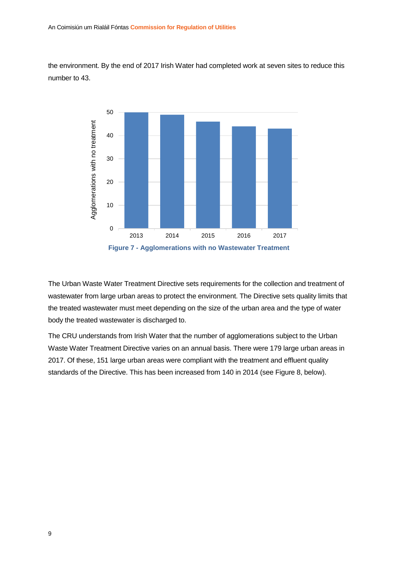the environment. By the end of 2017 Irish Water had completed work at seven sites to reduce this number to 43.



The Urban Waste Water Treatment Directive sets requirements for the collection and treatment of wastewater from large urban areas to protect the environment. The Directive sets quality limits that the treated wastewater must meet depending on the size of the urban area and the type of water body the treated wastewater is discharged to.

The CRU understands from Irish Water that the number of agglomerations subject to the Urban Waste Water Treatment Directive varies on an annual basis. There were 179 large urban areas in 2017. Of these, 151 large urban areas were compliant with the treatment and effluent quality standards of the Directive. This has been increased from 140 in 2014 (see Figure 8, below).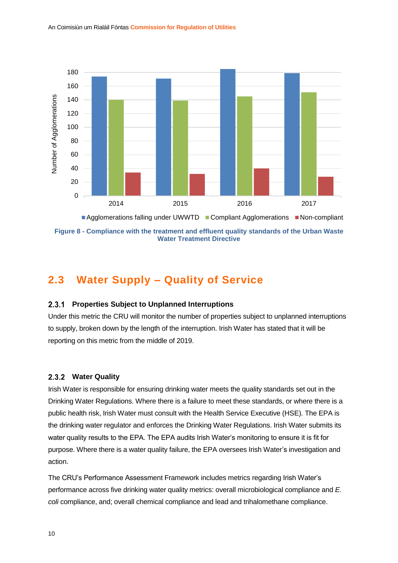

**Figure 8 - Compliance with the treatment and effluent quality standards of the Urban Waste Water Treatment Directive**

### <span id="page-13-0"></span>**2.3 Water Supply – Quality of Service**

#### <span id="page-13-1"></span>**Properties Subject to Unplanned Interruptions**

Under this metric the CRU will monitor the number of properties subject to unplanned interruptions to supply, broken down by the length of the interruption. Irish Water has stated that it will be reporting on this metric from the middle of 2019.

#### <span id="page-13-2"></span>**Water Quality**

Irish Water is responsible for ensuring drinking water meets the quality standards set out in the Drinking Water Regulations. Where there is a failure to meet these standards, or where there is a public health risk, Irish Water must consult with the Health Service Executive (HSE). The EPA is the drinking water regulator and enforces the Drinking Water Regulations. Irish Water submits its water quality results to the EPA. The EPA audits Irish Water's monitoring to ensure it is fit for purpose. Where there is a water quality failure, the EPA oversees Irish Water's investigation and action.

The CRU's Performance Assessment Framework includes metrics regarding Irish Water's performance across five drinking water quality metrics: overall microbiological compliance and *E. coli* compliance, and; overall chemical compliance and lead and trihalomethane compliance.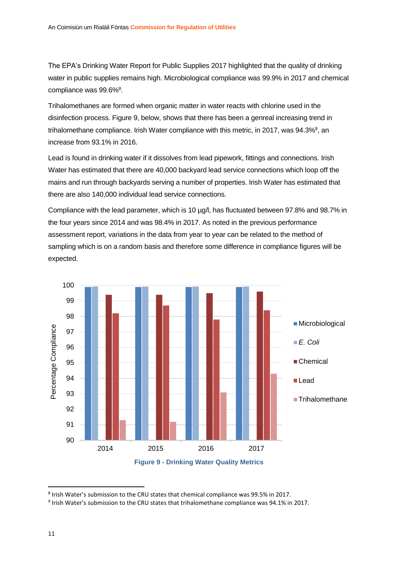The EPA's Drinking Water Report for Public Supplies 2017 highlighted that the quality of drinking water in public supplies remains high. Microbiological compliance was 99.9% in 2017 and chemical compliance was 99.6%<sup>8</sup>.

Trihalomethanes are formed when organic matter in water reacts with chlorine used in the disinfection process. Figure 9, below, shows that there has been a genreal increasing trend in trihalomethane compliance. Irish Water compliance with this metric, in 2017, was 94.3%<sup>9</sup>, an increase from 93.1% in 2016.

Lead is found in drinking water if it dissolves from lead pipework, fittings and connections. Irish Water has estimated that there are 40,000 backyard lead service connections which loop off the mains and run through backyards serving a number of properties. Irish Water has estimated that there are also 140,000 individual lead service connections.

Compliance with the lead parameter, which is 10 µg/l, has fluctuated between 97.8% and 98.7% in the four years since 2014 and was 98.4% in 2017. As noted in the previous performance assessment report, variations in the data from year to year can be related to the method of sampling which is on a random basis and therefore some difference in compliance figures will be expected.



<sup>&</sup>lt;sup>8</sup> Irish Water's submission to the CRU states that chemical compliance was 99.5% in 2017.

**.** 

 $9$  Irish Water's submission to the CRU states that trihalomethane compliance was 94.1% in 2017.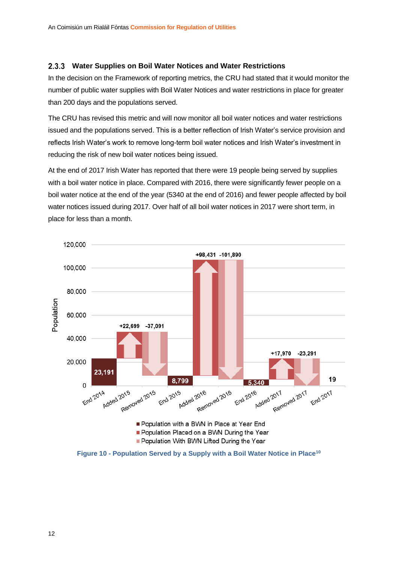#### <span id="page-15-0"></span>**Water Supplies on Boil Water Notices and Water Restrictions**

In the decision on the Framework of reporting metrics, the CRU had stated that it would monitor the number of public water supplies with Boil Water Notices and water restrictions in place for greater than 200 days and the populations served.

The CRU has revised this metric and will now monitor all boil water notices and water restrictions issued and the populations served. This is a better reflection of Irish Water's service provision and reflects Irish Water's work to remove long-term boil water notices and Irish Water's investment in reducing the risk of new boil water notices being issued.

At the end of 2017 Irish Water has reported that there were 19 people being served by supplies with a boil water notice in place. Compared with 2016, there were significantly fewer people on a boil water notice at the end of the year (5340 at the end of 2016) and fewer people affected by boil water notices issued during 2017. Over half of all boil water notices in 2017 were short term, in place for less than a month.



**Figure 10 - Population Served by a Supply with a Boil Water Notice in Place<sup>10</sup>**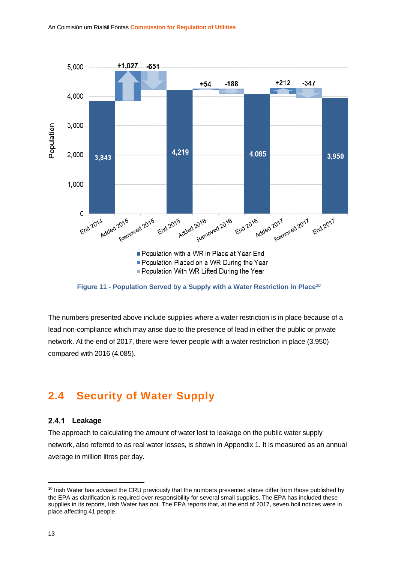

**Figure 11 - Population Served by a Supply with a Water Restriction in Place<sup>10</sup>**

The numbers presented above include supplies where a water restriction is in place because of a lead non-compliance which may arise due to the presence of lead in either the public or private network. At the end of 2017, there were fewer people with a water restriction in place (3,950) compared with 2016 (4,085).

### <span id="page-16-0"></span>**2.4 Security of Water Supply**

#### <span id="page-16-1"></span>2.4.1 Leakage

The approach to calculating the amount of water lost to leakage on the public water supply network, also referred to as real water losses, is shown in Appendix 1. It is measured as an annual average in million litres per day.

1

<sup>&</sup>lt;sup>10</sup> Irish Water has advised the CRU previously that the numbers presented above differ from those published by the EPA as clarification is required over responsibility for several small supplies. The EPA has included these supplies in its reports, Irish Water has not. The EPA reports that, at the end of 2017, seven boil notices were in place affecting 41 people.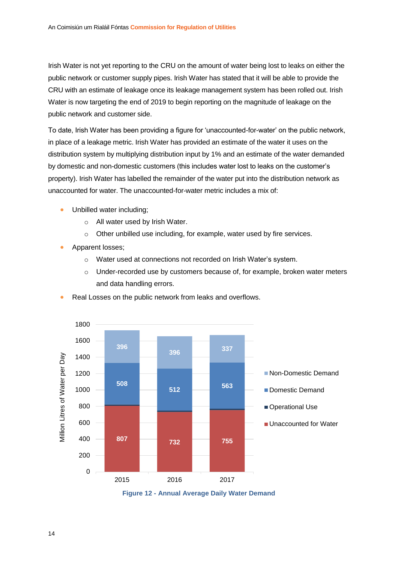Irish Water is not yet reporting to the CRU on the amount of water being lost to leaks on either the public network or customer supply pipes. Irish Water has stated that it will be able to provide the CRU with an estimate of leakage once its leakage management system has been rolled out. Irish Water is now targeting the end of 2019 to begin reporting on the magnitude of leakage on the public network and customer side.

To date, Irish Water has been providing a figure for 'unaccounted-for-water' on the public network, in place of a leakage metric. Irish Water has provided an estimate of the water it uses on the distribution system by multiplying distribution input by 1% and an estimate of the water demanded by domestic and non-domestic customers (this includes water lost to leaks on the customer's property). Irish Water has labelled the remainder of the water put into the distribution network as unaccounted for water. The unaccounted-for-water metric includes a mix of:

- Unbilled water including;
	- o All water used by Irish Water.
	- o Other unbilled use including, for example, water used by fire services.
- Apparent losses;
	- o Water used at connections not recorded on Irish Water's system.
	- o Under-recorded use by customers because of, for example, broken water meters and data handling errors.



• Real Losses on the public network from leaks and overflows.

**Figure 12 - Annual Average Daily Water Demand**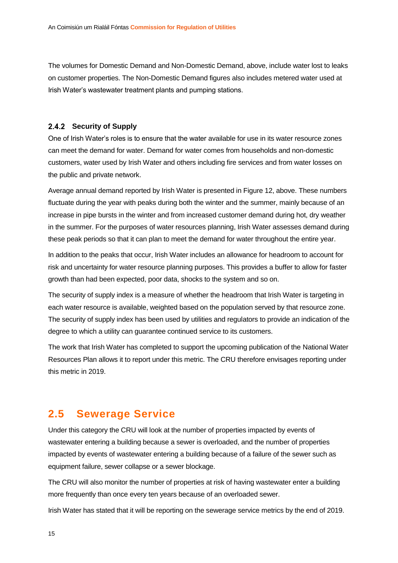The volumes for Domestic Demand and Non-Domestic Demand, above, include water lost to leaks on customer properties. The Non-Domestic Demand figures also includes metered water used at Irish Water's wastewater treatment plants and pumping stations.

#### <span id="page-18-0"></span>2.4.2 Security of Supply

One of Irish Water's roles is to ensure that the water available for use in its water resource zones can meet the demand for water. Demand for water comes from households and non-domestic customers, water used by Irish Water and others including fire services and from water losses on the public and private network.

Average annual demand reported by Irish Water is presented in Figure 12, above. These numbers fluctuate during the year with peaks during both the winter and the summer, mainly because of an increase in pipe bursts in the winter and from increased customer demand during hot, dry weather in the summer. For the purposes of water resources planning, Irish Water assesses demand during these peak periods so that it can plan to meet the demand for water throughout the entire year.

In addition to the peaks that occur, Irish Water includes an allowance for headroom to account for risk and uncertainty for water resource planning purposes. This provides a buffer to allow for faster growth than had been expected, poor data, shocks to the system and so on.

The security of supply index is a measure of whether the headroom that Irish Water is targeting in each water resource is available, weighted based on the population served by that resource zone. The security of supply index has been used by utilities and regulators to provide an indication of the degree to which a utility can guarantee continued service to its customers.

The work that Irish Water has completed to support the upcoming publication of the National Water Resources Plan allows it to report under this metric. The CRU therefore envisages reporting under this metric in 2019.

### <span id="page-18-1"></span>**2.5 Sewerage Service**

Under this category the CRU will look at the number of properties impacted by events of wastewater entering a building because a sewer is overloaded, and the number of properties impacted by events of wastewater entering a building because of a failure of the sewer such as equipment failure, sewer collapse or a sewer blockage.

The CRU will also monitor the number of properties at risk of having wastewater enter a building more frequently than once every ten years because of an overloaded sewer.

Irish Water has stated that it will be reporting on the sewerage service metrics by the end of 2019.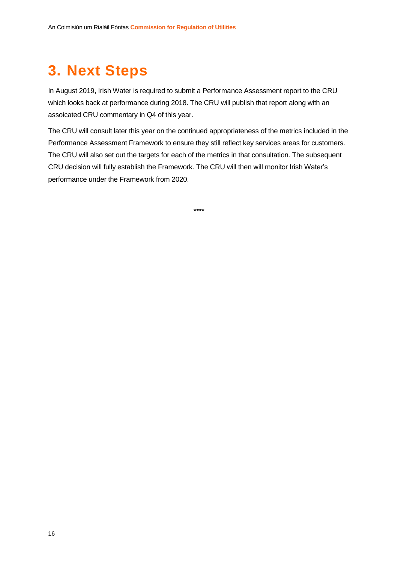## <span id="page-19-0"></span>**3. Next Steps**

In August 2019, Irish Water is required to submit a Performance Assessment report to the CRU which looks back at performance during 2018. The CRU will publish that report along with an assoicated CRU commentary in Q4 of this year.

The CRU will consult later this year on the continued appropriateness of the metrics included in the Performance Assessment Framework to ensure they still reflect key services areas for customers. The CRU will also set out the targets for each of the metrics in that consultation. The subsequent CRU decision will fully establish the Framework. The CRU will then will monitor Irish Water's performance under the Framework from 2020.

**\*\*\*\***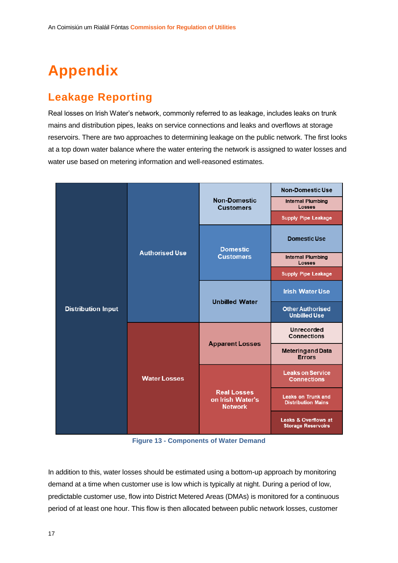## <span id="page-20-0"></span>**Appendix**

## <span id="page-20-1"></span>**Leakage Reporting**

Real losses on Irish Water's network, commonly referred to as leakage, includes leaks on trunk mains and distribution pipes, leaks on service connections and leaks and overflows at storage reservoirs. There are two approaches to determining leakage on the public network. The first looks at a top down water balance where the water entering the network is assigned to water losses and water use based on metering information and well-reasoned estimates.

|                           | <b>Authorised Use</b> | <b>Non-Domestic</b><br><b>Customers</b>                  | <b>Non-Domestic Use</b>                                |
|---------------------------|-----------------------|----------------------------------------------------------|--------------------------------------------------------|
|                           |                       |                                                          | <b>Internal Plumbing</b><br>Losses                     |
|                           |                       |                                                          | <b>Supply Pipe Leakage</b>                             |
|                           |                       | <b>Domestic</b><br><b>Customers</b>                      | <b>Domestic Use</b>                                    |
|                           |                       |                                                          | <b>Internal Plumbing</b><br><b>Losses</b>              |
|                           |                       |                                                          | <b>Supply Pipe Leakage</b>                             |
|                           |                       | <b>Unbilled Water</b>                                    | <b>Irish Water Use</b>                                 |
| <b>Distribution Input</b> |                       |                                                          | <b>Other Authorised</b><br><b>Unbilled Use</b>         |
|                           | <b>Water Losses</b>   | <b>Apparent Losses</b>                                   | <b>Unrecorded</b><br><b>Connections</b>                |
|                           |                       |                                                          | <b>Metering and Data</b><br><b>Errors</b>              |
|                           |                       | <b>Real Losses</b><br>on Irish Water's<br><b>Network</b> | <b>Leaks on Service</b><br><b>Connections</b>          |
|                           |                       |                                                          | <b>Leaks on Trunk and</b><br><b>Distribution Mains</b> |
|                           |                       |                                                          | Leaks & Overflows at<br><b>Storage Reservoirs</b>      |

**Figure 13 - Components of Water Demand**

In addition to this, water losses should be estimated using a bottom-up approach by monitoring demand at a time when customer use is low which is typically at night. During a period of low, predictable customer use, flow into District Metered Areas (DMAs) is monitored for a continuous period of at least one hour. This flow is then allocated between public network losses, customer